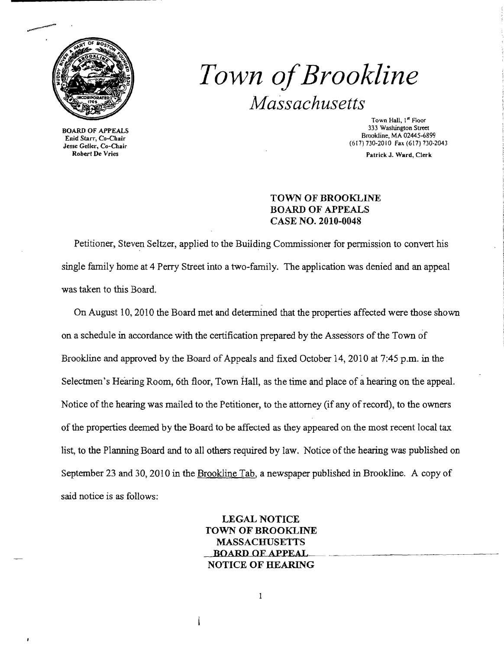

# *Town ofBrookline Massachusetts*

BOARD OF APPEALS Enid Starr, Co-Chair Jesse Geller, Co-Chair Robert De Vries

Town Hall, 1" Floor 333 Washington Street Brookline, MA 02445-6899 (617)730-2010 Fax (617) 730-2043

Patrick J. Ward, Clerk

## TOWN OF BROOKLINE BOARD OF APPEALS CASE NO. 2010-0048

Petitioner, Steven Seltzer, applied to the Building Commissioner for permission to convert his single family home at 4 Perry Street into a two-family. The application was denied and an appeal was taken to this Board.

On August 10, 2010 the Board met and determined that the properties affected were those shown on a schedule in accordance with the certification prepared by the Assessors of the Town of Brookline and approved by the Board of Appeals and fixed October 14, 2010 at 7:45 p.m. in the Selectmen's Hearing Room, 6th floor, Town Hall, as the time and place of a hearing on the appeal. Notice of the hearing was mailed to the Petitioner, to the attorney (if any of record), to the owners of the properties deemed by the Board to be affected as they appeared on the most recent local tax list, to the Planning Board and to all others required by law. Notice of the hearing was published on September 23 and 30, 2010 in the Brookline Tab, a newspaper published in Brookline. A copy of said notice is as follows:

> LEGAL NOTICE TOWN OF BROOKLINE MASSACHUSETTS BOARD OF APPEAL  $\overline{a}$ NOTICE OF HEARING

> > $\mathbf{1}$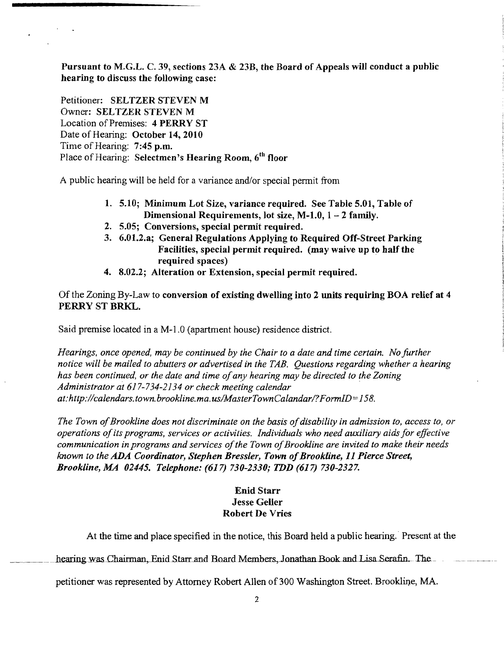Pursuant to M.G.L. C. 39, sections 23A & 23B, the Board of Appeals will conduct a public hearing to discuss the following case:

Petitioner: SELTZER STEVEN M Owner: SELTZER STEVEN M Location of Premises: 4 PERRY ST Date of Hearing: October 14,2010 Time of Hearing: 7:45 p.m. Place of Hearing: Selectmen's Hearing Room, 6<sup>th</sup> floor

A public hearing will be held for a variance and/or special pennit from

- 1. 5.10; Minimum Lot Size, variance required. See Table 5.01, Table of Dimensional Requirements, lot size, M-1.0,  $1 - 2$  family.
- 2. 5.05; Conversions, special permit required.
- 3. 6.01.2.a; General Regulations Applying to Required Off-Street Parking Facilities, special permit required. (may waive up to half the required spaces)
- 4. 8.02.2; Alteration or Extension, special permit required.

Of the Zoning By-Law to conversion of existing dwelling into 2 units requiring BOA relief at 4 PERRY ST BRKL.

Said premise located in a M-l.O (apartment house) residence district.

*Hearings, once opened, may be continued by the Chair to a date and time certain. No further notice will be mailed to abutters or advertised in the TAB. Questions regarding whether a hearing has been continued, or the date and time ofany hearing may be directed to the Zoning Administrator at* 617-734-2134 *or check meeiing calendar . at:http://calendars.town.brookline.ma.us/MasterTownCalandarl?FormID=158.* 

The Town of Brookline does not discriminate on the basis of disability in admission to, access to, or *operations ofits programs, services or activities. Individuals who need auxiliary aids for effective communication in programs and services ofthe Town ofBrookline are invited to make their needs known to the ADA Coordinator, Stephen Bressler, Town of Brookline, 11 Pierce Street, Brookline, MA 02445. Telephone:* (617) *730-2330; TDD* (617) *730-2327.* 

### Enid Starr Jesse Geller Robert De Vries

At the time and place specified in the notice, this Board held a public hearing.' Present at the

hearing was Chairman, Enid Starr and Board Members, Jonathan Book and Lisa Serafin. The

petitioner was represented by Attorney Robert Allen of 300 Washington Street. Brookline, MA.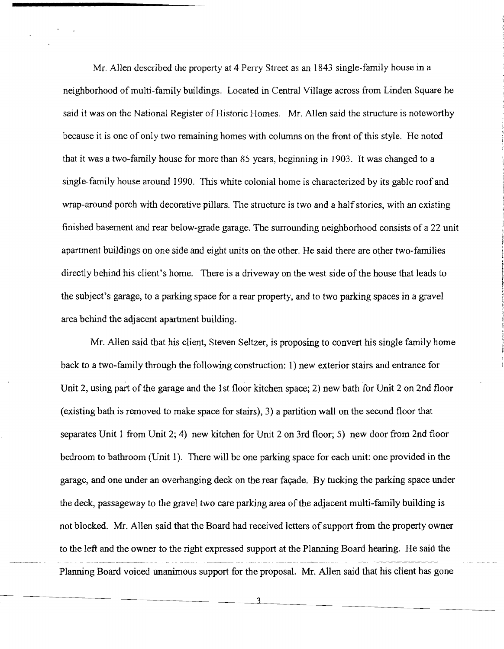Mr. Allen described the property at 4 Perry Street as an 1843 single-family house in a neighborhood of multi-family buildings. Located in Central Village across from Linden Square he said it was on the National Register of Historic Homes. Mr. Allen said the structure is noteworthy because it is one ofonly two remaining homes with columns on the front of this style. He noted that it was a two-family house for more than 85 years, beginning in 1903. It was changed to a single-family house around 1990. This white colonial horne is characterized by its gable roof and wrap-around porch with decorative pillars. The structure is two and a half stories, with an existing finished basement and rear below-grade garage. The surrounding neighborhood consists of a 22 unit apartment buildings on one side and eight units on the other. He said there are other two-families directly behind his client's home. There is a driveway on the west side of the house that leads to the subject's garage, to a parking space for a rear property, and to two parking spaces in a gravel area behind the adjacent apartment building.

Mr. Allen said that his client, Steven Seltzer, is proposing to convert his single family home back to a two-family through the following construction: 1) new exterior stairs and entrance for Unit 2, using part of the garage and the 1st floor kitchen space; 2) new bath for Unit 2 on 2nd floor (existing bath is removed to make space for stairs), 3) a partition wall on the second floor that separates Unit 1 from Unit 2; 4) new kitchen for Unit 2 on 3rd floor; 5) new door from 2nd floor bedroom to bathroom (Unit 1). There will be one parking space for each unit: one provided in the garage, and one under an overhanging deck on the rear fayade. By tucking the parking space under the deck, passageway to the gravel two care parking area of the adjacent multi-family building is not blocked. Mr. Allen said that the Board had received letters of support from the property owner to the left and the owner to the right expressed support at the Planning Board hearing. He said the the said the Planning Board voiced unanimous support for the proposal. Mr. Allen said that his client has gone

3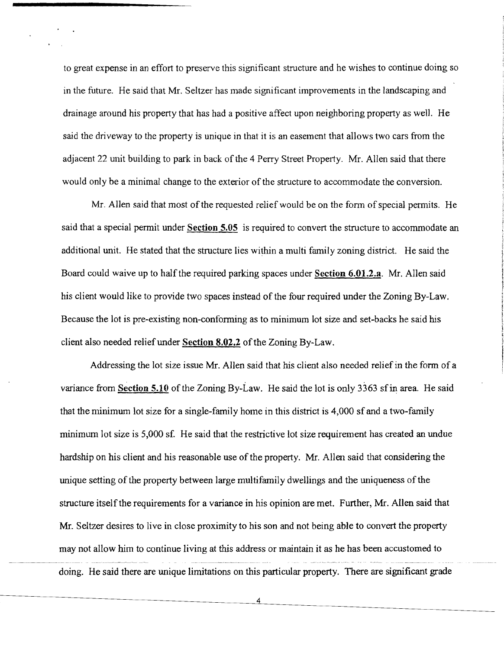to great expense in an effort to preserve this significant structure and he wishes to continue doing so in the future. He said that Mr. Seltzer has made significant improvements in the landscaping and drainage around his property that has had a positive affect upon neighboring property as well. He said the driveway to the property is unique in that it is an easement that allows two cars from the adjacent 22 unit building to park in back of the 4 Perry Street Property. Mr. Allen said that there would only be a minimal change to the exterior of the structure to accommodate the conversion.

Mr. Allen said that most of the requested relief would be on the form of special permits. He said that a special permit under Section 5.05 is required to convert the structure to accommodate an additional unit. He stated that the structure lies within a multi family zoning district. He said the Board could waive up to half the required parking spaces under Section 6.01.2.a. Mr. Allen said his client would like to provide two spaces instead of the four required under the Zoning By-Law. Because the lot is pre-existing non-confonning as to minimum lot size and set-backs he said his client also needed relief under Section 8.02.2 of the Zoning By-Law.

Addressing the lot size issue Mr. Allen said that his client also needed relief in the form of a variance from **Section 5.10** of the Zoning By-Law. He said the lot is only 3363 sf in area. He said that the minimum lot size for a single-family home in this district is 4,000 sf and a two-family minimum lot size is 5,000 sf. He said that the restrictive lot size requirement has created an undue hardship on his client and his reasonable use of the property. Mr. Allen said that considering the unique setting of the property between large multifamily dwellings and the uniqueness of the structure itself the requirements for a variance in his opinion are met. Further, Mr. Allen said that Mr. Seltzer desires to live in close proximity to his son and not being able to convert the property may not allow him to continue living at this address or maintain it as he has been accustomed to doing. He said there are unique limitations on this particular property. There are significant grade

4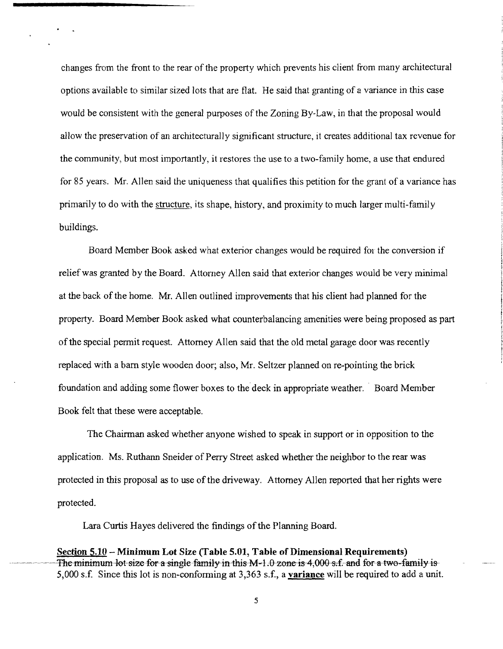changes from the front to the rear of the property which prevents his client from many architectural options available to similar sized lots that are flat. He said that granting of a variance in this case would be consistent with the general purposes of the Zoning By-Law, in that the proposal would allow the preservation of an architecturally significant structure, it creates additional tax revenue for the community, but most importantly, it restores the use to a two-family home, a use that endured for 85 years. Mr. Allen said the uniqueness that qualifies this petition for the grant of a variance has primarily to do with the structure, its shape, history, and proximity to much larger multi-family buildings.

Board Member Book asked what exterior changes would be required for the conversion if relief was granted by the Board. Attorney Allen said that exterior changes would be very minimal at the back of the home. Mr. Allen outlined improvements that his client had planned for the property. Board Member Book asked what counterbalancing amenities were being proposed as part of the special permit request. Attorney Allen said that the old metal garage door was recently replaced with a barn style wooden door; also, Mr. Seltzer planned on re-pointing the brick foundation and adding some flower boxes to the deck in appropriate weather. - Board Member Book felt that these were acceptable.

The Chairman asked whether anyone wished to speak in support or in opposition to the application. Ms. Ruthann Sneider of Perry Street asked whether the neighbor to the rear was protected in this proposal as to use of the driveway. Attorney Allen reported that her rights were protected.

Lara Curtis Hayes delivered the findings of the Planning Board.

**Section 5.10 - Minimum Lot Size (Table 5.01, Table of Dimensional Requirements)**  The minimum-lot size for a single family in this  $M-1.0$  zone is 4,000 s.f. and for a two-family is-5,000 s.f. Since this lot is non-conforming at 3,363 s.f., a **variance** will be required to add a unit.

5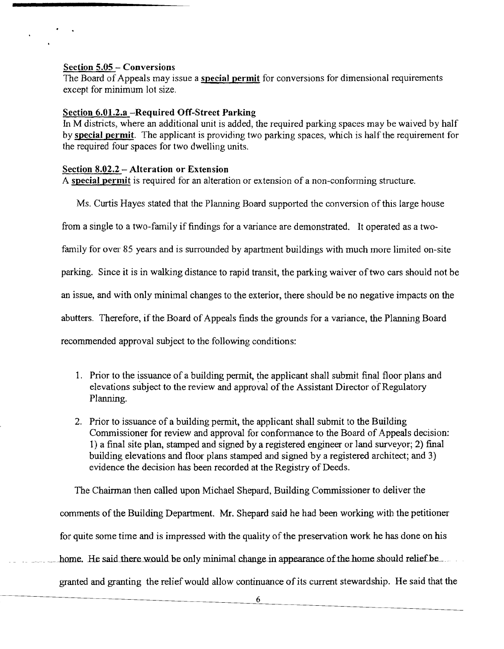#### Section 5.05 - Conversions

The Board of Appeals may issue a special permit for conversions for dimensional requirements except for minimum lot size.

#### Section 6.01.2.a -Required Off-Street Parking

In M districts, where an additional unit is added, the required parking spaces may be waived by half by special permit. The applicant is providing two parking spaces, which is half the requirement for the required four spaces for two dwelling units.

#### Section 8.02.2 - Alteration or Extension

A special permit is required for an alteration or extension of a non-conforming structure.

Ms. Curtis Hayes stated that the Planning Board supported the conversion ofthis large house

from a single to a two-family if findings for a variance are demonstrated. It operated as a two-

family for over 85 years and is surrounded by apartment buildings with much more limited on-site

parking. Since it is in walking distance to rapid transit, the parking waiver of two cars should not be

an issue, and with only minimal changes to the exterior, there should be no negative impacts on the

abutters. Therefore, if the Board of Appeals finds the grounds for a variance, the Planning Board

recommended approval subject to the following conditions:

- 1. Prior to the issuance of a building permit, the applicant shall submit final floor plans and elevations subject to the review and approval of the Assistant Director of Regulatory Planning.
- 2. Prior to issuance of a building permit, the applicant shall submit to the Building Commissioner for review and approval for confonnance to the Board of Appeals decision: 1) a final site plan, stamped and signed by a registered engineer or land surveyor; 2) final building elevations and floor plans stamped and signed by a registered architect; and 3) evidence the decision has been recorded at the Registry of Deeds.

The Chairman then called upon Michael Shepard, Building Commissioner to deliver the comments of the Building Department. Mr. Shepard said he had been working with the petitioner for quite some time and is impressed with the quality of the preservation work he has done on his home. He said there would be only minimal change in appearance of the home should relief be granted and granting the relief would allow continuance of its current stewardship. He said that the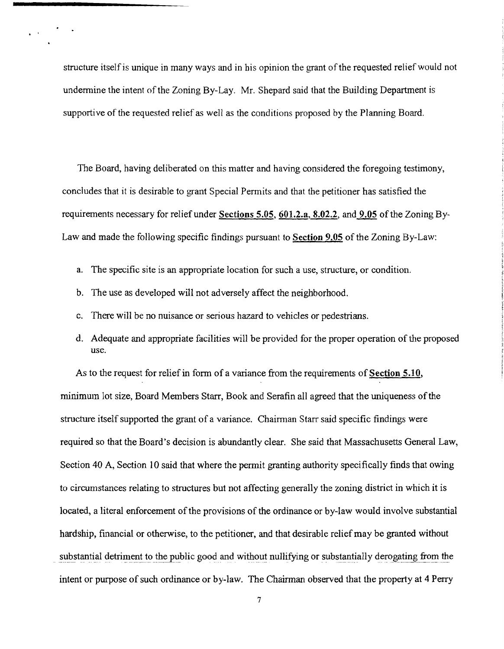structure itself is unique in many ways and in his opinion the grant of the requested relief would not undermine the intent of the Zoning By-Lay. Mr. Shepard said that the Building Department is supportive of the requested relief as well as the conditions proposed by the Planning Board.

The Board, having deliberated on this matter and having considered the foregoing testimony, concludes that it is desirable to grant Special Permits and that the petitioner has satisfied the requirements necessary for relief under Sections 5.05, 601.2.a, 8.02.2, and 9.05 of the Zoning By-Law and made the following specific findings pursuant to Section 9.05 of the Zoning By-Law:

- a. The specific site is an appropriate location for such a use, structure, or condition.
- b. The use as developed will not adversely affect the neighborhood.

· .

- There will be no nuisance or serious hazard to vehicles or pedestrians.
- d. Adequate and appropriate facilities will be provided for the proper operation of the proposed use.

As to the request for relief in form of a variance from the requirements of **Section 5.10**, minimum lot size, Board Members Starr, Book and Serafin all agreed that the uniqueness ofthe structure itself supported the grant of a variance. Chairman Starr said specific findings were required so that the Board's decision is abundantly clear. She said that Massachusetts General Law, Section 40 A, Section 10 said that where the permit granting authority specifically finds that owing to circumstances relating to structures but not affecting generally the zoning district in which it is located, a literal enforcement of the provisions of the ordinance or by-law would involve substantial hardship, financial or otherwise, to the petitioner, and that desirable relief may be granted without substantial detriment to the public good and without nullifying or substantially derogating from the intent or purpose of such ordinance or by-law. The Chairman observed that the property at 4 Perry